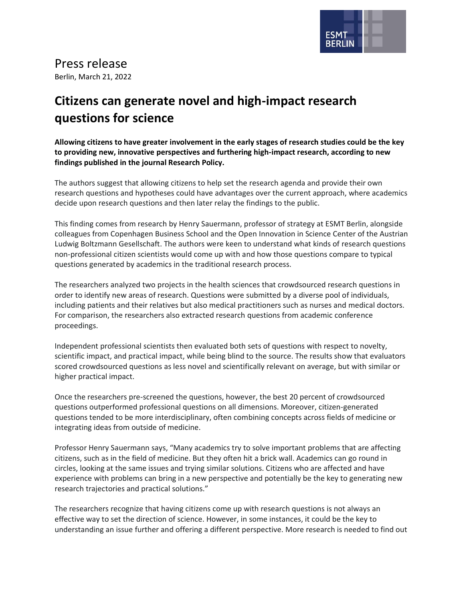

## Press release

Berlin, March 21, 2022

## **Citizens can generate novel and high-impact research questions for science**

**Allowing citizens to have greater involvement in the early stages of research studies could be the key to providing new, innovative perspectives and furthering high-impact research, according to new findings published in the journal Research Policy.**

The authors suggest that allowing citizens to help set the research agenda and provide their own research questions and hypotheses could have advantages over the current approach, where academics decide upon research questions and then later relay the findings to the public.

This finding comes from research by Henry Sauermann, professor of strategy at ESMT Berlin, alongside colleagues from Copenhagen Business School and the Open Innovation in Science Center of the Austrian Ludwig Boltzmann Gesellschaft. The authors were keen to understand what kinds of research questions non-professional citizen scientists would come up with and how those questions compare to typical questions generated by academics in the traditional research process.

The researchers analyzed two projects in the health sciences that crowdsourced research questions in order to identify new areas of research. Questions were submitted by a diverse pool of individuals, including patients and their relatives but also medical practitioners such as nurses and medical doctors. For comparison, the researchers also extracted research questions from academic conference proceedings.

Independent professional scientists then evaluated both sets of questions with respect to novelty, scientific impact, and practical impact, while being blind to the source. The results show that evaluators scored crowdsourced questions as less novel and scientifically relevant on average, but with similar or higher practical impact.

Once the researchers pre-screened the questions, however, the best 20 percent of crowdsourced questions outperformed professional questions on all dimensions. Moreover, citizen-generated questions tended to be more interdisciplinary, often combining concepts across fields of medicine or integrating ideas from outside of medicine.

Professor Henry Sauermann says, "Many academics try to solve important problems that are affecting citizens, such as in the field of medicine. But they often hit a brick wall. Academics can go round in circles, looking at the same issues and trying similar solutions. Citizens who are affected and have experience with problems can bring in a new perspective and potentially be the key to generating new research trajectories and practical solutions."

The researchers recognize that having citizens come up with research questions is not always an effective way to set the direction of science. However, in some instances, it could be the key to understanding an issue further and offering a different perspective. More research is needed to find out